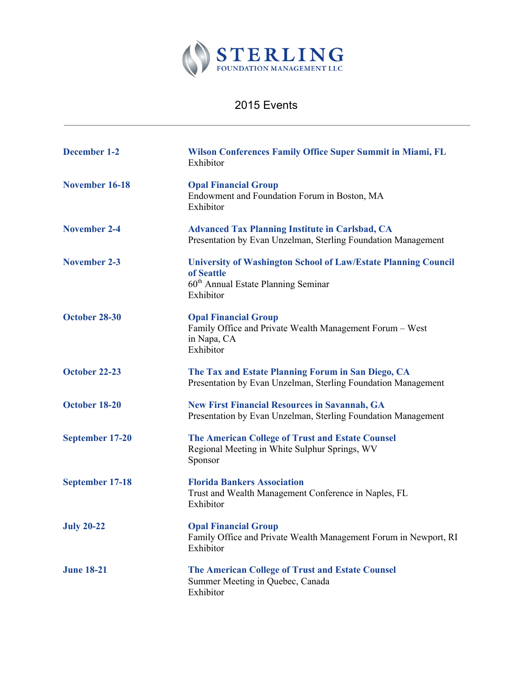

## 2015 Events

| <b>December 1-2</b>    | <b>Wilson Conferences Family Office Super Summit in Miami, FL</b><br>Exhibitor                                                                      |
|------------------------|-----------------------------------------------------------------------------------------------------------------------------------------------------|
| November 16-18         | <b>Opal Financial Group</b><br>Endowment and Foundation Forum in Boston, MA<br>Exhibitor                                                            |
| <b>November 2-4</b>    | <b>Advanced Tax Planning Institute in Carlsbad, CA</b><br>Presentation by Evan Unzelman, Sterling Foundation Management                             |
| November 2-3           | <b>University of Washington School of Law/Estate Planning Council</b><br>of Seattle<br>60 <sup>th</sup> Annual Estate Planning Seminar<br>Exhibitor |
| October 28-30          | <b>Opal Financial Group</b><br>Family Office and Private Wealth Management Forum - West<br>in Napa, CA<br>Exhibitor                                 |
| October 22-23          | The Tax and Estate Planning Forum in San Diego, CA<br>Presentation by Evan Unzelman, Sterling Foundation Management                                 |
| October 18-20          | <b>New First Financial Resources in Savannah, GA</b><br>Presentation by Evan Unzelman, Sterling Foundation Management                               |
| September 17-20        | The American College of Trust and Estate Counsel<br>Regional Meeting in White Sulphur Springs, WV<br>Sponsor                                        |
| <b>September 17-18</b> | <b>Florida Bankers Association</b><br>Trust and Wealth Management Conference in Naples, FL<br>Exhibitor                                             |
| <b>July 20-22</b>      | <b>Opal Financial Group</b><br>Family Office and Private Wealth Management Forum in Newport, RI<br>Exhibitor                                        |
| <b>June 18-21</b>      | The American College of Trust and Estate Counsel<br>Summer Meeting in Quebec, Canada<br>Exhibitor                                                   |